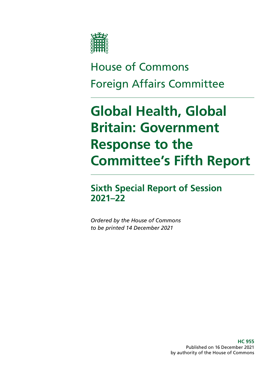

## House of Commons Foreign Affairs Committee

# **Global Health, Global Britain: Government Response to the Committee's Fifth Report**

### **Sixth Special Report of Session 2021–22**

*Ordered by the House of Commons to be printed 14 December 2021*

> **HC 955** Published on 16 December 2021 by authority of the House of Commons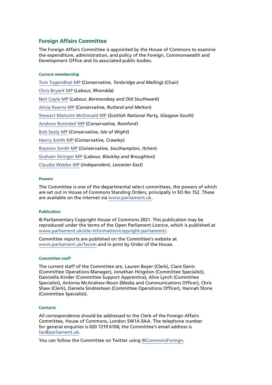### **Foreign Affairs Committee**

The Foreign Affairs Committee is appointed by the House of Commons to examine the expenditure, administration, and policy of the Foreign, Commonwealth and Development Office and its associated public bodies.

### **Current membership**

[Tom Tugendhat MP](https://www.parliament.uk/biographies/commons/tom-tugendhat/4462) (*Conservative, Tonbridge and Malling*) (Chair) [Chris Bryant MP](https://www.parliament.uk/biographies/commons/chris-bryant/1446) (*Labour, Rhondda*) [Neil Coyle MP](https://members.parliament.uk/member/4368/contact) (*Labour, Bermondsey and Old Southwark*) [Alicia Kearns MP](https://members.parliament.uk/member/4805/contact) (*Conservative, Rutland and Melton*) [Stewart Malcolm McDonald MP](https://members.parliament.uk/member/4461/contact) (*Scottish National Party, Glasgow South*) [Andrew Rosindell MP](https://www.parliament.uk/biographies/commons/andrew-rosindell/1447) (*Conservative, Romford*) [Bob Seely MP](https://www.parliament.uk/biographies/commons/mr-bob-seely/4681) (*Conservative, Isle of Wight*) [Henry Smith MP](https://members.parliament.uk/member/3960/contact) (*Conservative, Crawley*) [Royston Smith MP](https://www.parliament.uk/biographies/commons/royston-smith/4478) (*Conservative, Southampton, Itchen*) [Graham Stringer MP](https://members.parliament.uk/member/449/contact) (*Labour, Blackley and Broughton*) [Claudia Webbe MP](https://members.parliament.uk/member/4848/contact) (*Independent, Leicester East*)

### **Powers**

The Committee is one of the departmental select committees, the powers of which are set out in House of Commons Standing Orders, principally in SO No 152. These are available on the internet via [www.parliament.uk.](https://www.parliament.uk)

### **Publication**

© Parliamentary Copyright House of Commons 2021. This publication may be reproduced under the terms of the Open Parliament Licence, which is published at [www.parliament.uk/site-information/copyright-parliament/](https://www.parliament.uk/site-information/copyright-parliament/).

Committee reports are published on the Committee's website at [www.parliament.uk/facom](https://committees.parliament.uk/committee/78/foreign-affairs-committee/) and in print by Order of the House.

#### **Committee staff**

The current staff of the Committee are, Lauren Boyer (Clerk), Clare Genis (Committee Operations Manager), Jonathan Hingston (Committee Specialist), Danniella Kinder (Committee Support Apprentice), Alice Lynch (Committee Specialist), Antonia McAndrew-Noon (Media and Communications Officer), Chris Shaw (Clerk), Daniela Sindrestean (Committee Operations Officer), Hannah Stone (Committee Specialist).

#### **Contacts**

All correspondence should be addressed to the Clerk of the Foreign Affairs Committee, House of Commons, London SW1A 0AA. The telephone number for general enquiries is 020 7219 6106; the Committee's email address is [fac@parliament.uk.](mailto:fac%40parliament.uk?subject=)

You can follow the Committee on Twitter using [@CommonsForeign.](https://twitter.com/CommonsForeign)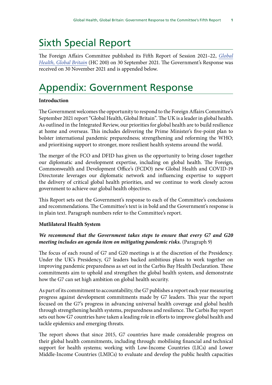### Sixth Special Report

The Foreign Affairs Committee published its Fifth Report of Session 2021–22, *[Global](https://committees.parliament.uk/publications/7458/documents/78108/default/) [Health, Global Britain](https://committees.parliament.uk/publications/7458/documents/78108/default/)* (HC 200) on 30 September 2021. The Government's Response was received on 30 November 2021 and is appended below.

### Appendix: Government Response

### **Introduction**

The Government welcomes the opportunity to respond to the Foreign Affairs Committee's September 2021 report "Global Health, Global Britain". The UK is a leader in global health. As outlined in the Integrated Review, our priorities for global health are to build resilience at home and overseas. This includes delivering the Prime Minister's five-point plan to bolster international pandemic preparedness; strengthening and reforming the WHO; and prioritising support to stronger, more resilient health systems around the world.

The merger of the FCO and DFID has given us the opportunity to bring closer together our diplomatic and development expertise, including on global health. The Foreign, Commonwealth and Development Office's (FCDO) new Global Health and COVID-19 Directorate leverages our diplomatic network and influencing expertise to support the delivery of critical global health priorities, and we continue to work closely across government to achieve our global health objectives.

This Report sets out the Government's response to each of the Committee's conclusions and recommendations. The Committee's text is in bold and the Government's response is in plain text. Paragraph numbers refer to the Committee's report.

### **Mutlilateral Health System**

### *We recommend that the Government takes steps to ensure that every G7 and G20 meeting includes an agenda item on mitigating pandemic risks.* (Paragraph 9)

The focus of each round of G7 and G20 meetings is at the discretion of the Presidency. Under the UK's Presidency, G7 leaders backed ambitious plans to work together on improving pandemic preparedness as set out in the Carbis Bay Health Declaration. These commitments aim to uphold and strengthen the global health system, and demonstrate how the G7 can set high ambition on global health security.

As part of its commitment to accountability, the G7 publishes a report each year measuring progress against development commitments made by G7 leaders. This year the report focused on the G7's progress in advancing universal health coverage and global health through strengthening health systems, preparedness and resilience. The Carbis Bay report sets out how G7 countries have taken a leading role in efforts to improve global health and tackle epidemics and emerging threats.

The report shows that since 2015, G7 countries have made considerable progress on their global health commitments, including through: mobilising financial and technical support for health systems; working with Low-Income Countries (LICs) and Lower Middle-Income Countries (LMICs) to evaluate and develop the public health capacities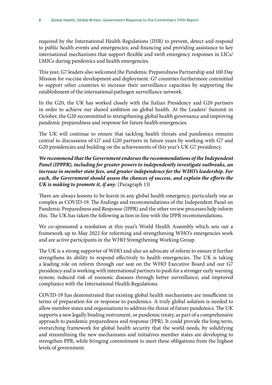required by the International Health Regulations (IHR) to prevent, detect and respond to public health events and emergencies; and financing and providing assistance to key international mechanisms that support flexible and swift emergency responses in LICs/ LMICs during pandemics and health emergencies.

This year, G7 leaders also welcomed the Pandemic Preparedness Partnership and 100 Day Mission for vaccine development and deployment. G7 countries furthermore committed to support other countries to increase their surveillance capacities by supporting the establishment of the international pathogen surveillance network.

In the G20, the UK has worked closely with the Italian Presidency and G20 partners in order to achieve our shared ambition on global health. At the Leaders' Summit in October, the G20 recommitted to strengthening global health governance and improving pandemic preparedness and response for future health emergencies.

The UK will continue to ensure that tackling health threats and pandemics remains central to discussions of G7 and G20 partners in future years by working with G7 and G20 presidencies and building on the achievements of this year's UK G7 presidency.

*We recommend that the Government endorses the recommendations of the Independent Panel (IPPPR), including for greater powers to independently investigate outbreaks, an increase in member state fees, and greater independence for the WHO's leadership. For*  each, the Government should assess the chances of success, and explain the efforts the *UK is making to promote it, if any.* (Paragraph 13)

There are always lessons to be learnt in any global health emergency, particularly one as complex as COVID-19. The findings and recommendations of the Independent Panel on Pandemic Preparedness and Response (IPPR) and the other review processes help inform this. The UK has taken the following action in line with the IPPR recommendations.

We co-sponsored a resolution at this year's World Health Assembly which sets out a framework up to May 2022 for reforming and strengthening WHO's emergencies work and are active participants in the WHO Strengthening Working Group.

The UK is a strong supporter of WHO and also an advocate of reform to ensure it further strengthens its ability to respond effectively to health emergencies. The UK is taking a leading role on reform through our seat on the WHO Executive Board and our G7 presidency and is working with international partners to push for a stronger early warning system; reduced risk of zoonotic diseases through better surveillance; and improved compliance with the International Health Regulations.

COVID-19 has demonstrated that existing global health mechanisms are insufficient in terms of preparation for or response to pandemics. A truly global solution is needed to allow member states and organisations to address the threat of future pandemics. The UK supports a new legally binding instrument, or pandemic treaty, as part of a comprehensive approach to pandemic preparedness and response (PPR). It could provide the long-term, overarching framework for global health security that the world needs, by solidifying and streamlining the new mechanisms and initiatives member states are developing to strengthen PPR, while bringing commitment to meet these obligations from the highest levels of government.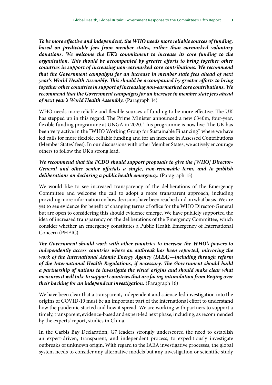*To be more effective and independent, the WHO needs more reliable sources of funding,*  based on predictable fees from member states, rather than earmarked voluntary *donations. We welcome the UK's commitment to increase its core funding to the organisation. This should be accompanied by greater efforts to bring together other countries in support of increasing non-earmarked core contributions. We recommend that the Government campaigns for an increase in member state fees ahead of next year's World Health Assembly. This should be accompanied by greater efforts to bring together other countries in support of increasing non-earmarked core contributions. We recommend that the Government campaigns for an increase in member state fees ahead of next year's World Health Assembly.* (Paragraph 14)

WHO needs more reliable and flexible sources of funding to be more effective. The UK has stepped up in this regard. The Prime Minister announced a new £340m, four-year, flexible funding programme at UNGA in 2020. This programme is now live. The UK has been very active in the "WHO Working Group for Sustainable Financing" where we have led calls for more flexible, reliable funding and for an increase in Assessed Contributions (Member States' fees). In our discussions with other Member States, we actively encourage others to follow the UK's strong lead.

### *We recommend that the FCDO should support proposals to give the [WHO] Director-General and other senior officials a single, non-renewable term, and to publish deliberations on declaring a public health emergency.* (Paragraph 15)

We would like to see increased transparency of the deliberations of the Emergency Committee and welcome the call to adopt a more transparent approach, including providing more information on how decisions have been reached and on what basis. We are yet to see evidence for benefit of changing terms of office for the WHO Director-General but are open to considering this should evidence emerge. We have publicly supported the idea of increased transparency on the deliberations of the Emergency Committee, which consider whether an emergency constitutes a Public Health Emergency of International Concern (PHEIC).

*The Government should work with other countries to increase the WHO's powers to independently access countries where an outbreak has been reported, mirroring the work of the International Atomic Energy Agency (IAEA)—including through reform of the International Health Regulations, if necessary. The Government should build a partnership of nations to investigate the virus' origins and should make clear what measures it will take to support countries that are facing intimidation from Beijing over their backing for an independent investigation.* (Paragraph 16)

We have been clear that a transparent, independent and science-led investigation into the origins of COVID-19 must be an important part of the international effort to understand how the pandemic started and how it spread. We are working with partners to support a timely, transparent, evidence-based and expert-led next phase, including, as recommended by the experts' report, studies in China.

In the Carbis Bay Declaration, G7 leaders strongly underscored the need to establish an expert-driven, transparent, and independent process, to expeditiously investigate outbreaks of unknown origin. With regard to the IAEA investigative processes, the global system needs to consider any alternative models but any investigation or scientific study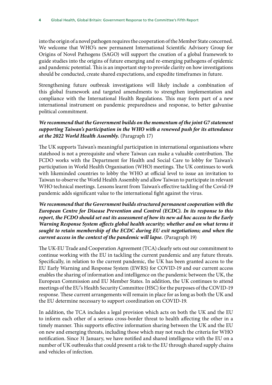into the origin of a novel pathogen requires the cooperation of the Member State concerned. We welcome that WHO's new permanent International Scientific Advisory Group for Origins of Novel Pathogens (SAGO) will support the creation of a global framework to guide studies into the origins of future emerging and re-emerging pathogens of epidemic and pandemic potential. This is an important step to provide clarity on how investigations should be conducted, create shared expectations, and expedite timeframes in future.

Strengthening future outbreak investigations will likely include a combination of this global framework and targeted amendments to strengthen implementation and compliance with the International Health Regulations. This may form part of a new international instrument on pandemic preparedness and response, to better galvanise political commitment.

### *We recommend that the Government builds on the momentum of the joint G7 statement supporting Taiwan's participation in the WHO with a renewed push for its attendance at the 2022 World Health Assembly.* (Paragraph 17)

The UK supports Taiwan's meaningful participation in international organisations where statehood is not a prerequisite and where Taiwan can make a valuable contribution. The FCDO works with the Department for Health and Social Care to lobby for Taiwan's participation in World Health Organisation (WHO) meetings. The UK continues to work with likeminded countries to lobby the WHO at official level to issue an invitation to Taiwan to observe the World Health Assembly and allow Taiwan to participate in relevant WHO technical meetings. Lessons learnt from Taiwan's effective tackling of the Covid-19 pandemic adds significant value to the international fight against the virus.

*We recommend that the Government builds structured permanent cooperation with the European Centre for Disease Prevention and Control (ECDC). In its response to this report, the FCDO should set out its assessment of how its new ad hoc access to the Early Warning Response System affects global health security; whether and on what terms it sought to retain membership of the ECDC during EU exit negotiations; and when the current access in the context of the pandemic will lapse.* (Paragraph 19)

The UK-EU Trade and Cooperation Agreement (TCA) clearly sets out our commitment to continue working with the EU in tackling the current pandemic and any future threats. Specifically, in relation to the current pandemic, the UK has been granted access to the EU Early Warning and Response System (EWRS) for COVID-19 and our current access enables the sharing of information and intelligence on the pandemic between the UK, the European Commission and EU Member States. In addition, the UK continues to attend meetings of the EU's Health Security Committee (HSC) for the purposes of the COVID-19 response. These current arrangements will remain in place for as long as both the UK and the EU determine necessary to support coordination on COVID-19.

In addition, the TCA includes a legal provision which acts on both the UK and the EU to inform each other of a serious cross-border threat to health affecting the other in a timely manner. This supports effective information sharing between the UK and the EU on new and emerging threats, including those which may not reach the criteria for WHO notification. Since 31 January, we have notified and shared intelligence with the EU on a number of UK outbreaks that could present a risk to the EU through shared supply chains and vehicles of infection.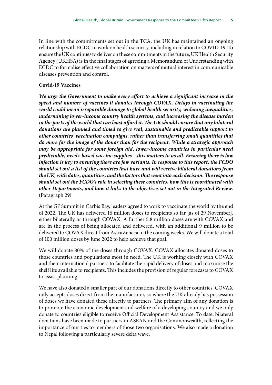In line with the commitments set out in the TCA, the UK has maintained an ongoing relationship with ECDC to work on health security, including in relation to COVID-19. To ensure the UK continues to deliver on these commitments in the future, UK Health Security Agency (UKHSA) is in the final stages of agreeing a Memorandum of Understanding with ECDC to formalise effective collaboration on matters of mutual interest in communicable diseases prevention and control.

### **Covid-19 Vaccines**

*We urge the Government to make every effort to achieve a significant increase in the speed and number of vaccines it donates through COVAX. Delays in vaccinating the world could mean irreparable damage to global health security, widening inequalities, undermining lower-income country health systems, and increasing the disease burden in the parts of the world that can least afford it. The UK should ensure that any bilateral donations are planned and timed to give real, sustainable and predictable support to other countries' vaccination campaigns, rather than transferring small quantities that do more for the image of the donor than for the recipient. While a strategic approach may be appropriate for some foreign aid, lower-income countries in particular need predictable, needs-based vaccine supplies—this matters to us all. Ensuring there is low infection is key to ensuring there are few variants. In response to this report, the FCDO should set out a list of the countries that have and will receive bilateral donations from the UK, with dates, quantities, and the factors that went into each decision. The response should set out the FCDO's role in selecting these countries, how this is coordinated with other Departments, and how it links to the objectives set out in the Integrated Review.* (Paragraph 29)

At the G7 Summit in Carbis Bay, leaders agreed to work to vaccinate the world by the end of 2022. The UK has delivered 16 million doses to recipients so far [as of 29 November], either bilaterally or through COVAX. A further 5.8 million doses are with COVAX and are in the process of being allocated and delivered, with an additional 9 million to be delivered to COVAX direct from AstraZeneca in the coming weeks. We will donate a total of 100 million doses by June 2022 to help achieve that goal.

We will donate 80% of the doses through COVAX. COVAX allocates donated doses to those countries and populations most in need. The UK is working closely with COVAX and their international partners to facilitate the rapid delivery of doses and maximise the shelf life available to recipients. This includes the provision of regular forecasts to COVAX to assist planning.

We have also donated a smaller part of our donations directly to other countries. COVAX only accepts doses direct from the manufacturer, so where the UK already has possession of doses we have donated these directly to partners. The primary aim of any donation is to promote the economic development and welfare of a developing country and we only donate to countries eligible to receive Official Development Assistance. To date, bilateral donations have been made to partners in ASEAN and the Commonwealth, reflecting the importance of our ties to members of those two organisations. We also made a donation to Nepal following a particularly severe delta wave.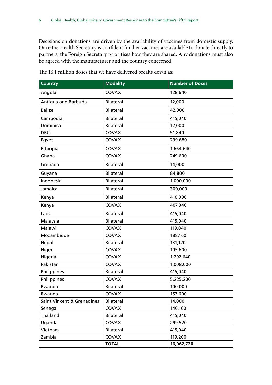Decisions on donations are driven by the availability of vaccines from domestic supply. Once the Health Secretary is confident further vaccines are available to donate directly to partners, the Foreign Secretary prioritises how they are shared. Any donations must also be agreed with the manufacturer and the country concerned.

| <b>Country</b>             | <b>Modality</b>  | <b>Number of Doses</b> |
|----------------------------|------------------|------------------------|
| Angola                     | <b>COVAX</b>     | 128,640                |
| Antigua and Barbuda        | Bilateral        | 12,000                 |
| <b>Belize</b>              | Bilateral        | 42,000                 |
| Cambodia                   | <b>Bilateral</b> | 415,040                |
| Dominica                   | <b>Bilateral</b> | 12,000                 |
| <b>DRC</b>                 | COVAX            | 51,840                 |
| Egypt                      | COVAX            | 299,680                |
| Ethiopia                   | COVAX            | 1,664,640              |
| Ghana                      | COVAX            | 249,600                |
| Grenada                    | <b>Bilateral</b> | 14,000                 |
| Guyana                     | <b>Bilateral</b> | 84,800                 |
| Indonesia                  | <b>Bilateral</b> | 1,000,000              |
| Jamaica                    | <b>Bilateral</b> | 300,000                |
| Kenya                      | <b>Bilateral</b> | 410,000                |
| Kenya                      | COVAX            | 407,040                |
| Laos                       | <b>Bilateral</b> | 415,040                |
| Malaysia                   | <b>Bilateral</b> | 415,040                |
| Malawi                     | <b>COVAX</b>     | 119,040                |
| Mozambique                 | COVAX            | 188,160                |
| Nepal                      | <b>Bilateral</b> | 131,120                |
| Niger                      | COVAX            | 105,600                |
| Nigeria                    | COVAX            | 1,292,640              |
| Pakistan                   | <b>COVAX</b>     | 1,008,000              |
| Philippines                | Bilateral        | 415,040                |
| Philippines                | COVAX            | 5,225,200              |
| Rwanda                     | Bilateral        | 100,000                |
| Rwanda                     | COVAX            | 153,600                |
| Saint Vincent & Grenadines | Bilateral        | 14,000                 |
| Senegal                    | COVAX            | 140,160                |
| Thailand                   | Bilateral        | 415,040                |
| Uganda                     | COVAX            | 299,520                |
| Vietnam                    | Bilateral        | 415,040                |
| Zambia                     | COVAX            | 119,200                |
|                            | <b>TOTAL</b>     | 16,062,720             |

The 16.1 million doses that we have delivered breaks down as: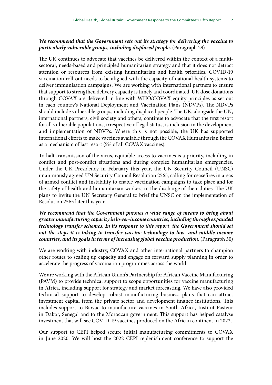### *We recommend that the Government sets out its strategy for delivering the vaccine to particularly vulnerable groups, including displaced people.* (Paragraph 29)

The UK continues to advocate that vaccines be delivered within the context of a multisectoral, needs-based and principled humanitarian strategy and that it does not detract attention or resources from existing humanitarian and health priorities. COVID-19 vaccination roll-out needs to be aligned with the capacity of national health systems to deliver immunisation campaigns. We are working with international partners to ensure that support to strengthen delivery capacity is timely and coordinated. UK dose donations through COVAX are delivered in line with WHO/COVAX equity principles as set out in each country's National Deployment and Vaccination Plans (NDVPs). The NDVPs should include vulnerable groups, including displaced people. The UK, alongside the UN, international partners, civil society and others, continue to advocate that the first resort for all vulnerable populations, irrespective of legal status, is inclusion in the development and implementation of NDVPs. Where this is not possible, the UK has supported international efforts to make vaccines available through the COVAX Humanitarian Buffer as a mechanism of last resort (5% of all COVAX vaccines).

To halt transmission of the virus, equitable access to vaccines is a priority, including in conflict and post-conflict situations and during complex humanitarian emergencies. Under the UK Presidency in February this year, the UN Security Council (UNSC) unanimously agreed UN Security Council Resolution 2565, calling for ceasefires in areas of armed conflict and instability to enable vaccination campaigns to take place and for the safety of health and humanitarian workers in the discharge of their duties. The UK plans to invite the UN Secretary General to brief the UNSC on the implementation of Resolution 2565 later this year.

### *We recommend that the Government pursues a wide range of means to bring about greater manufacturing capacity in lower-income countries, including through expanded technology transfer schemes. In its response to this report, the Government should set out the steps it is taking to transfer vaccine technology to low- and middle-income countries, and its goals in terms of increasing global vaccine production*. (Paragraph 30)

We are working with industry, COVAX and other international partners to champion other routes to scaling up capacity and engage on forward supply planning in order to accelerate the progress of vaccination programmes across the world.

We are working with the African Union's Partnership for African Vaccine Manufacturing (PAVM) to provide technical support to scope opportunities for vaccine manufacturing in Africa, including support for strategy and market forecasting. We have also provided technical support to develop robust manufacturing business plans that can attract investment capital from the private sector and development finance institutions. This includes support to Biovac to manufacture vaccines in South Africa, Institut Pasteur in Dakar, Senegal and to the Moroccan government. This support has helped catalyse investment that will see COVID-19 vaccines produced on the African continent in 2022.

Our support to CEPI helped secure initial manufacturing commitments to COVAX in June 2020. We will host the 2022 CEPI replenishment conference to support the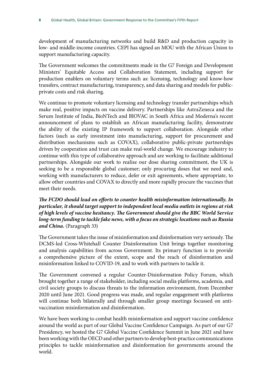development of manufacturing networks and build R&D and production capacity in low- and middle-income countries. CEPI has signed an MOU with the African Union to support manufacturing capacity.

The Government welcomes the commitments made in the G7 Foreign and Development Ministers' Equitable Access and Collaboration Statement, including support for production enablers on voluntary terms such as: licensing, technology and know-how transfers, contract manufacturing, transparency, and data sharing and models for publicprivate costs and risk sharing.

We continue to promote voluntary licensing and technology transfer partnerships which make real, positive impacts on vaccine delivery. Partnerships like AstraZeneca and the Serum Institute of India, BioNTech and BIOVAC in South Africa and Moderna's recent announcement of plans to establish an African manufacturing facility, demonstrate the ability of the existing IP framework to support collaboration. Alongside other factors (such as early investment into manufacturing, support for procurement and distribution mechanisms such as COVAX), collaborative public-private partnerships driven by cooperation and trust can make real-world change. We encourage industry to continue with this type of collaborative approach and are working to facilitate additional partnerships. Alongside our work to realise our dose sharing commitment, the UK is seeking to be a responsible global customer; only procuring doses that we need and, working with manufacturers to reduce, defer or exit agreements, where appropriate, to allow other countries and COVAX to directly and more rapidly procure the vaccines that meet their needs.

*The FCDO should lead on efforts to counter health misinformation internationally. In particular, it should target support to independent local media outlets in regions at risk of high levels of vaccine hesitancy. The Government should give the BBC World Service long-term funding to tackle fake news, with a focus on strategic locations such as Russia and China.* (Paragraph 33)

The Government takes the issue of misinformation and disinformation very seriously. The DCMS-led Cross-Whitehall Counter Disinformation Unit brings together monitoring and analysis capabilities from across Government. Its primary function is to provide a comprehensive picture of the extent, scope and the reach of disinformation and misinformation linked to COVID-19, and to work with partners to tackle it.

The Government convened a regular Counter-Disinformation Policy Forum, which brought together a range of stakeholder, including social media platforms, academia, and civil society groups to discuss threats to the information environment, from December 2020 until June 2021. Good progress was made, and regular engagement with platforms will continue both bilaterally and through smaller group meetings focussed on antivaccination misinformation and disinformation.

We have been working to combat health misinformation and support vaccine confidence around the world as part of our Global Vaccine Confidence Campaign. As part of our G7 Presidency, we hosted the G7 Global Vaccine Confidence Summit in June 2021 and have been working with the OECD and other partners to develop best-practice communications principles to tackle misinformation and disinformation for governments around the world.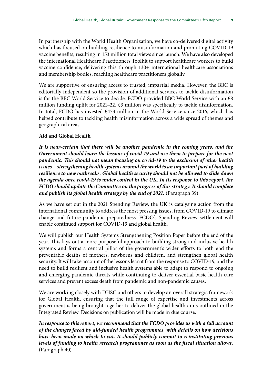In partnership with the World Health Organization, we have co-delivered digital activity which has focused on building resilience to misinformation and promoting COVID-19 vaccine benefits, resulting in 153 million total views since launch. We have also developed the international Healthcare Practitioners Toolkit to support healthcare workers to build vaccine confidence, delivering this through 130+ international healthcare associations and membership bodies, reaching healthcare practitioners globally.

We are supportive of ensuring access to trusted, impartial media. However, the BBC is editorially independent so the provision of additional services to tackle disinformation is for the BBC World Service to decide. FCDO provided BBC World Service with an £8 million funding uplift for 2021–22. £3 million was specifically to tackle disinformation. In total, FCDO has invested £473 million in the World Service since 2016, which has helped contribute to tackling health misinformation across a wide spread of themes and geographical areas.

### **Aid and Global Health**

*It is near-certain that there will be another pandemic in the coming years, and the Government should learn the lessons of covid-19 and use them to prepare for the next pandemic. This should not mean focusing on covid-19 to the exclusion of other health issues—strengthening health systems around the world is an important part of building resilience to new outbreaks. Global health security should not be allowed to slide down the agenda once covid-19 is under control in the UK. In its response to this report, the FCDO should update the Committee on the progress of this strategy. It should complete and publish its global health strategy by the end of 2021.* (Paragraph 39)

As we have set out in the 2021 Spending Review, the UK is catalysing action from the international community to address the most pressing issues, from COVID-19 to climate change and future pandemic preparedness. FCDO's Spending Review settlement will enable continued support for COVID-19 and global health.

We will publish our Health Systems Strengthening Position Paper before the end of the year. This lays out a more purposeful approach to building strong and inclusive health systems and forms a central pillar of the government's wider efforts to both end the preventable deaths of mothers, newborns and children, and strengthen global health security. It will take account of the lessons learnt from the response to COVID-19, and the need to build resilient and inclusive health systems able to adapt to respond to ongoing and emerging pandemic threats while continuing to deliver essential basic health care services and prevent excess death from pandemic and non-pandemic causes.

We are working closely with DHSC and others to develop an overall strategic framework for Global Health, ensuring that the full range of expertise and investments across government is being brought together to deliver the global health aims outlined in the Integrated Review. Decisions on publication will be made in due course.

*In response to this report, we recommend that the FCDO provides us with a full account of the changes faced by aid-funded health programmes, with details on how decisions have been made on which to cut. It should publicly commit to reinstituting previous levels of funding to health research programmes as soon as the fiscal situation allows.*  (Paragraph 40)